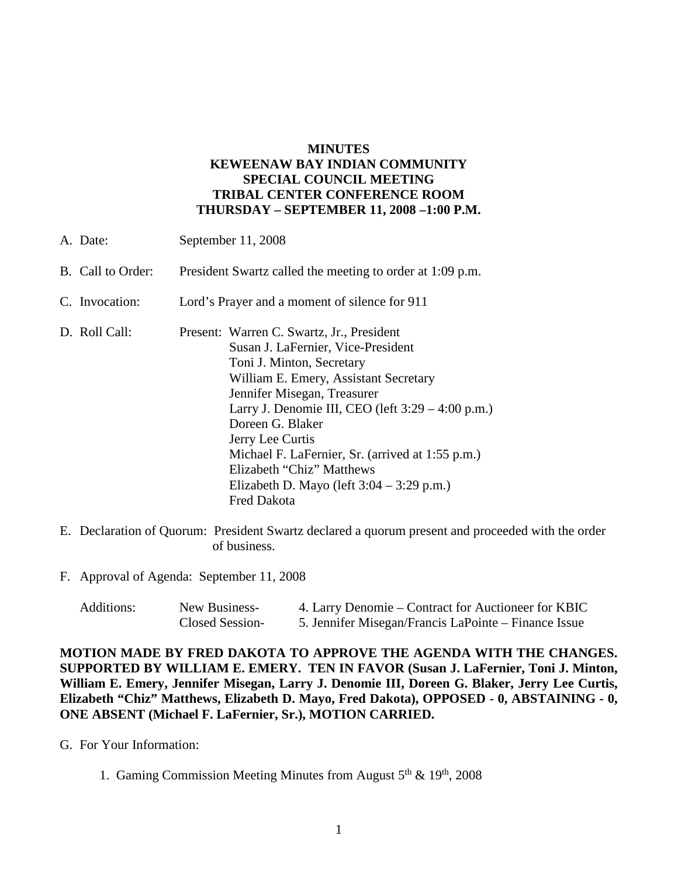# **MINUTES KEWEENAW BAY INDIAN COMMUNITY SPECIAL COUNCIL MEETING TRIBAL CENTER CONFERENCE ROOM THURSDAY – SEPTEMBER 11, 2008 –1:00 P.M.**

| A. Date:          | September 11, 2008                                                                                                                                                                                                                                                                                                                                                                                                                        |  |
|-------------------|-------------------------------------------------------------------------------------------------------------------------------------------------------------------------------------------------------------------------------------------------------------------------------------------------------------------------------------------------------------------------------------------------------------------------------------------|--|
| B. Call to Order: | President Swartz called the meeting to order at 1:09 p.m.                                                                                                                                                                                                                                                                                                                                                                                 |  |
| C. Invocation:    | Lord's Prayer and a moment of silence for 911                                                                                                                                                                                                                                                                                                                                                                                             |  |
| D. Roll Call:     | Present: Warren C. Swartz, Jr., President<br>Susan J. LaFernier, Vice-President<br>Toni J. Minton, Secretary<br>William E. Emery, Assistant Secretary<br>Jennifer Misegan, Treasurer<br>Larry J. Denomie III, CEO (left $3:29 - 4:00$ p.m.)<br>Doreen G. Blaker<br>Jerry Lee Curtis<br>Michael F. LaFernier, Sr. (arrived at 1:55 p.m.)<br>Elizabeth "Chiz" Matthews<br>Elizabeth D. Mayo (left $3:04 - 3:29$ p.m.)<br><b>Fred Dakota</b> |  |

- E. Declaration of Quorum: President Swartz declared a quorum present and proceeded with the order of business.
- F. Approval of Agenda: September 11, 2008

| Additions: | New Business-   | 4. Larry Denomie – Contract for Auctioneer for KBIC  |
|------------|-----------------|------------------------------------------------------|
|            | Closed Session- | 5. Jennifer Misegan/Francis LaPointe – Finance Issue |

**MOTION MADE BY FRED DAKOTA TO APPROVE THE AGENDA WITH THE CHANGES. SUPPORTED BY WILLIAM E. EMERY. TEN IN FAVOR (Susan J. LaFernier, Toni J. Minton, William E. Emery, Jennifer Misegan, Larry J. Denomie III, Doreen G. Blaker, Jerry Lee Curtis, Elizabeth "Chiz" Matthews, Elizabeth D. Mayo, Fred Dakota), OPPOSED - 0, ABSTAINING - 0, ONE ABSENT (Michael F. LaFernier, Sr.), MOTION CARRIED.**

G. For Your Information:

1. Gaming Commission Meeting Minutes from August 5<sup>th</sup> & 19<sup>th</sup>, 2008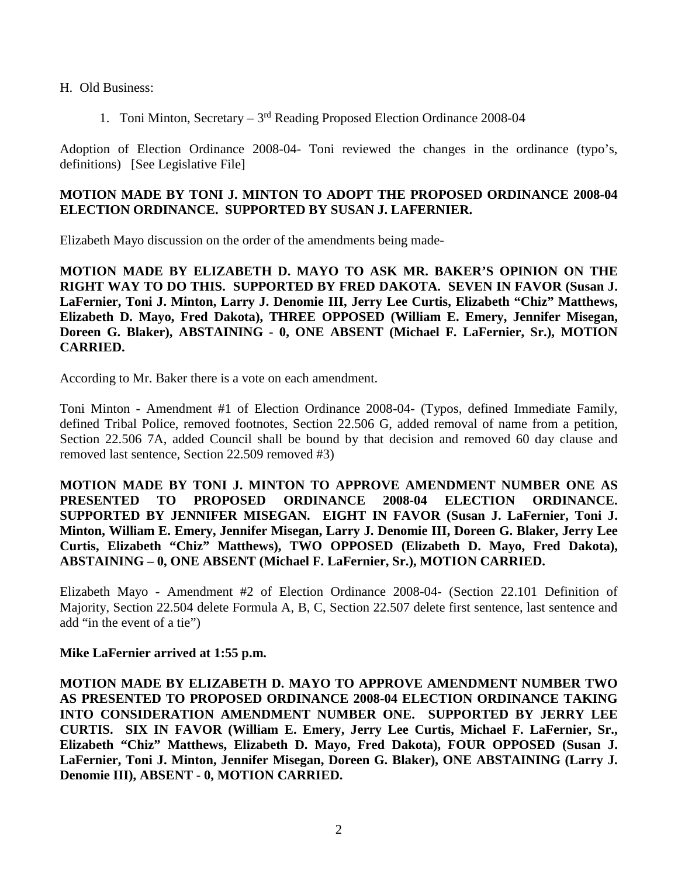H. Old Business:

1. Toni Minton, Secretary – 3rd Reading Proposed Election Ordinance 2008-04

Adoption of Election Ordinance 2008-04- Toni reviewed the changes in the ordinance (typo's, definitions) [See Legislative File]

## **MOTION MADE BY TONI J. MINTON TO ADOPT THE PROPOSED ORDINANCE 2008-04 ELECTION ORDINANCE. SUPPORTED BY SUSAN J. LAFERNIER.**

Elizabeth Mayo discussion on the order of the amendments being made-

**MOTION MADE BY ELIZABETH D. MAYO TO ASK MR. BAKER'S OPINION ON THE RIGHT WAY TO DO THIS. SUPPORTED BY FRED DAKOTA. SEVEN IN FAVOR (Susan J. LaFernier, Toni J. Minton, Larry J. Denomie III, Jerry Lee Curtis, Elizabeth "Chiz" Matthews, Elizabeth D. Mayo, Fred Dakota), THREE OPPOSED (William E. Emery, Jennifer Misegan, Doreen G. Blaker), ABSTAINING - 0, ONE ABSENT (Michael F. LaFernier, Sr.), MOTION CARRIED.**

According to Mr. Baker there is a vote on each amendment.

Toni Minton - Amendment #1 of Election Ordinance 2008-04- (Typos, defined Immediate Family, defined Tribal Police, removed footnotes, Section 22.506 G, added removal of name from a petition, Section 22.506 7A, added Council shall be bound by that decision and removed 60 day clause and removed last sentence, Section 22.509 removed #3)

**MOTION MADE BY TONI J. MINTON TO APPROVE AMENDMENT NUMBER ONE AS PRESENTED TO PROPOSED ORDINANCE 2008-04 ELECTION ORDINANCE. SUPPORTED BY JENNIFER MISEGAN. EIGHT IN FAVOR (Susan J. LaFernier, Toni J. Minton, William E. Emery, Jennifer Misegan, Larry J. Denomie III, Doreen G. Blaker, Jerry Lee Curtis, Elizabeth "Chiz" Matthews), TWO OPPOSED (Elizabeth D. Mayo, Fred Dakota), ABSTAINING – 0, ONE ABSENT (Michael F. LaFernier, Sr.), MOTION CARRIED.**

Elizabeth Mayo - Amendment #2 of Election Ordinance 2008-04- (Section 22.101 Definition of Majority, Section 22.504 delete Formula A, B, C, Section 22.507 delete first sentence, last sentence and add "in the event of a tie")

### **Mike LaFernier arrived at 1:55 p.m.**

**MOTION MADE BY ELIZABETH D. MAYO TO APPROVE AMENDMENT NUMBER TWO AS PRESENTED TO PROPOSED ORDINANCE 2008-04 ELECTION ORDINANCE TAKING INTO CONSIDERATION AMENDMENT NUMBER ONE. SUPPORTED BY JERRY LEE CURTIS. SIX IN FAVOR (William E. Emery, Jerry Lee Curtis, Michael F. LaFernier, Sr., Elizabeth "Chiz" Matthews, Elizabeth D. Mayo, Fred Dakota), FOUR OPPOSED (Susan J. LaFernier, Toni J. Minton, Jennifer Misegan, Doreen G. Blaker), ONE ABSTAINING (Larry J. Denomie III), ABSENT - 0, MOTION CARRIED.**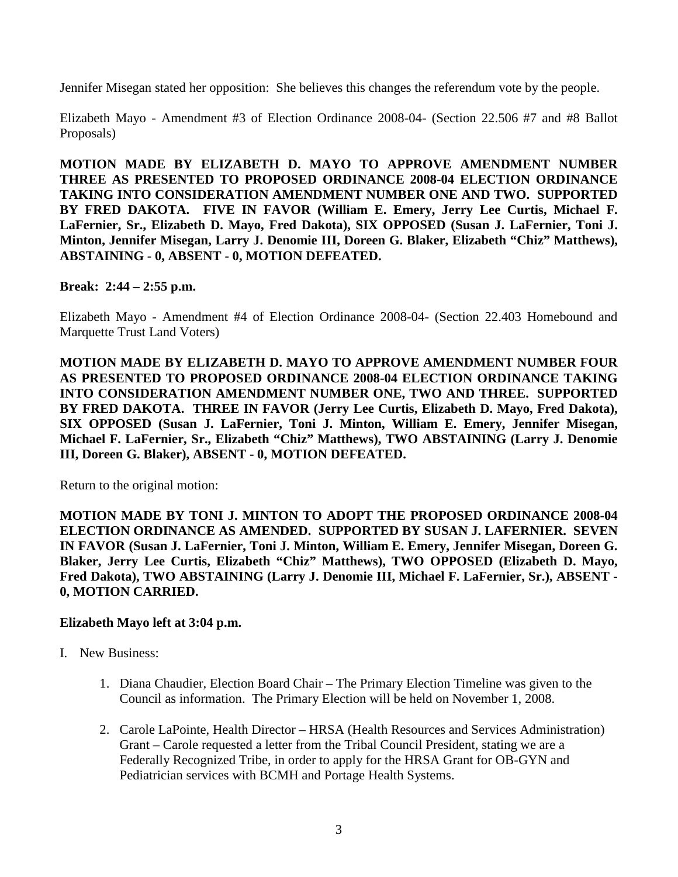Jennifer Misegan stated her opposition: She believes this changes the referendum vote by the people.

Elizabeth Mayo - Amendment #3 of Election Ordinance 2008-04- (Section 22.506 #7 and #8 Ballot Proposals)

**MOTION MADE BY ELIZABETH D. MAYO TO APPROVE AMENDMENT NUMBER THREE AS PRESENTED TO PROPOSED ORDINANCE 2008-04 ELECTION ORDINANCE TAKING INTO CONSIDERATION AMENDMENT NUMBER ONE AND TWO. SUPPORTED BY FRED DAKOTA. FIVE IN FAVOR (William E. Emery, Jerry Lee Curtis, Michael F. LaFernier, Sr., Elizabeth D. Mayo, Fred Dakota), SIX OPPOSED (Susan J. LaFernier, Toni J. Minton, Jennifer Misegan, Larry J. Denomie III, Doreen G. Blaker, Elizabeth "Chiz" Matthews), ABSTAINING - 0, ABSENT - 0, MOTION DEFEATED.**

### **Break: 2:44 – 2:55 p.m.**

Elizabeth Mayo - Amendment #4 of Election Ordinance 2008-04- (Section 22.403 Homebound and Marquette Trust Land Voters)

**MOTION MADE BY ELIZABETH D. MAYO TO APPROVE AMENDMENT NUMBER FOUR AS PRESENTED TO PROPOSED ORDINANCE 2008-04 ELECTION ORDINANCE TAKING INTO CONSIDERATION AMENDMENT NUMBER ONE, TWO AND THREE. SUPPORTED BY FRED DAKOTA. THREE IN FAVOR (Jerry Lee Curtis, Elizabeth D. Mayo, Fred Dakota), SIX OPPOSED (Susan J. LaFernier, Toni J. Minton, William E. Emery, Jennifer Misegan, Michael F. LaFernier, Sr., Elizabeth "Chiz" Matthews), TWO ABSTAINING (Larry J. Denomie III, Doreen G. Blaker), ABSENT - 0, MOTION DEFEATED.**

Return to the original motion:

**MOTION MADE BY TONI J. MINTON TO ADOPT THE PROPOSED ORDINANCE 2008-04 ELECTION ORDINANCE AS AMENDED. SUPPORTED BY SUSAN J. LAFERNIER. SEVEN IN FAVOR (Susan J. LaFernier, Toni J. Minton, William E. Emery, Jennifer Misegan, Doreen G. Blaker, Jerry Lee Curtis, Elizabeth "Chiz" Matthews), TWO OPPOSED (Elizabeth D. Mayo, Fred Dakota), TWO ABSTAINING (Larry J. Denomie III, Michael F. LaFernier, Sr.), ABSENT - 0, MOTION CARRIED.**

### **Elizabeth Mayo left at 3:04 p.m.**

- I. New Business:
	- 1. Diana Chaudier, Election Board Chair The Primary Election Timeline was given to the Council as information. The Primary Election will be held on November 1, 2008.
	- 2. Carole LaPointe, Health Director HRSA (Health Resources and Services Administration) Grant – Carole requested a letter from the Tribal Council President, stating we are a Federally Recognized Tribe, in order to apply for the HRSA Grant for OB-GYN and Pediatrician services with BCMH and Portage Health Systems.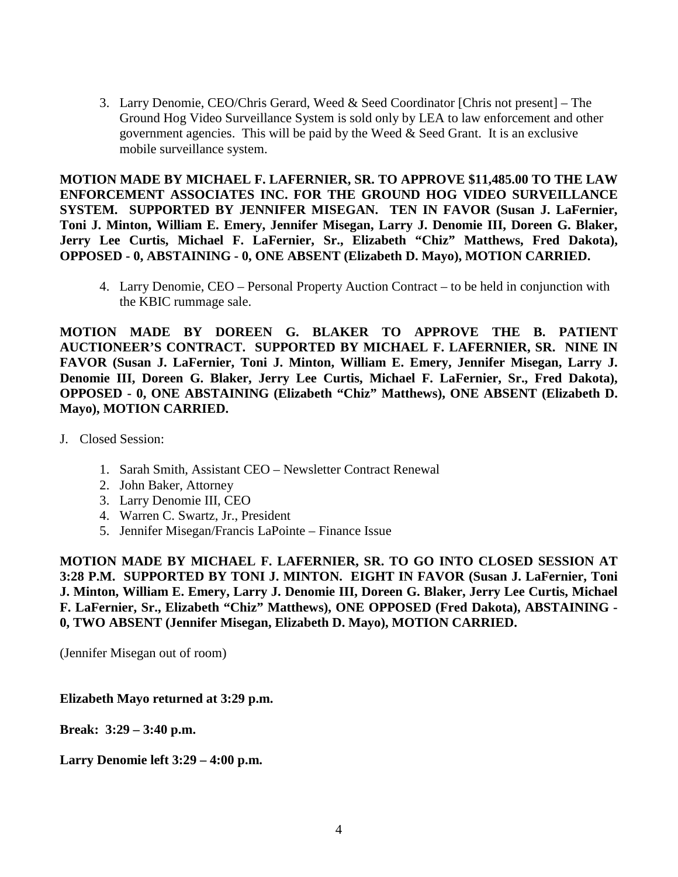3. Larry Denomie, CEO/Chris Gerard, Weed & Seed Coordinator [Chris not present] – The Ground Hog Video Surveillance System is sold only by LEA to law enforcement and other government agencies. This will be paid by the Weed & Seed Grant. It is an exclusive mobile surveillance system.

**MOTION MADE BY MICHAEL F. LAFERNIER, SR. TO APPROVE \$11,485.00 TO THE LAW ENFORCEMENT ASSOCIATES INC. FOR THE GROUND HOG VIDEO SURVEILLANCE SYSTEM. SUPPORTED BY JENNIFER MISEGAN. TEN IN FAVOR (Susan J. LaFernier, Toni J. Minton, William E. Emery, Jennifer Misegan, Larry J. Denomie III, Doreen G. Blaker, Jerry Lee Curtis, Michael F. LaFernier, Sr., Elizabeth "Chiz" Matthews, Fred Dakota), OPPOSED - 0, ABSTAINING - 0, ONE ABSENT (Elizabeth D. Mayo), MOTION CARRIED.**

4. Larry Denomie, CEO – Personal Property Auction Contract – to be held in conjunction with the KBIC rummage sale.

**MOTION MADE BY DOREEN G. BLAKER TO APPROVE THE B. PATIENT AUCTIONEER'S CONTRACT. SUPPORTED BY MICHAEL F. LAFERNIER, SR. NINE IN FAVOR (Susan J. LaFernier, Toni J. Minton, William E. Emery, Jennifer Misegan, Larry J. Denomie III, Doreen G. Blaker, Jerry Lee Curtis, Michael F. LaFernier, Sr., Fred Dakota), OPPOSED - 0, ONE ABSTAINING (Elizabeth "Chiz" Matthews), ONE ABSENT (Elizabeth D. Mayo), MOTION CARRIED.**

- J. Closed Session:
	- 1. Sarah Smith, Assistant CEO Newsletter Contract Renewal
	- 2. John Baker, Attorney
	- 3. Larry Denomie III, CEO
	- 4. Warren C. Swartz, Jr., President
	- 5. Jennifer Misegan/Francis LaPointe Finance Issue

**MOTION MADE BY MICHAEL F. LAFERNIER, SR. TO GO INTO CLOSED SESSION AT 3:28 P.M. SUPPORTED BY TONI J. MINTON. EIGHT IN FAVOR (Susan J. LaFernier, Toni J. Minton, William E. Emery, Larry J. Denomie III, Doreen G. Blaker, Jerry Lee Curtis, Michael F. LaFernier, Sr., Elizabeth "Chiz" Matthews), ONE OPPOSED (Fred Dakota), ABSTAINING - 0, TWO ABSENT (Jennifer Misegan, Elizabeth D. Mayo), MOTION CARRIED.**

(Jennifer Misegan out of room)

**Elizabeth Mayo returned at 3:29 p.m.**

**Break: 3:29 – 3:40 p.m.**

**Larry Denomie left 3:29 – 4:00 p.m.**